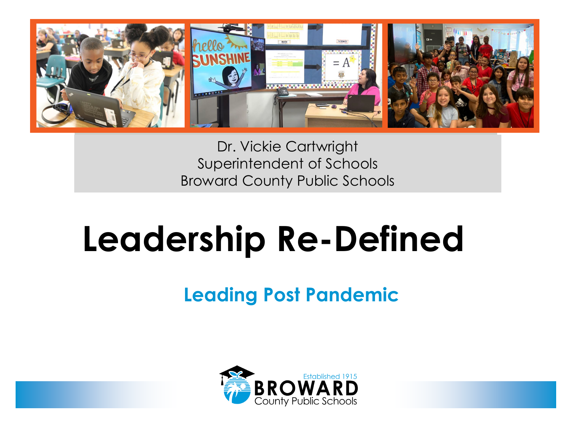

Dr. Vickie Cartwright Superintendent of Schools Broward County Public Schools

# **Leadership Re-Defined**

# **Leading Post Pandemic**

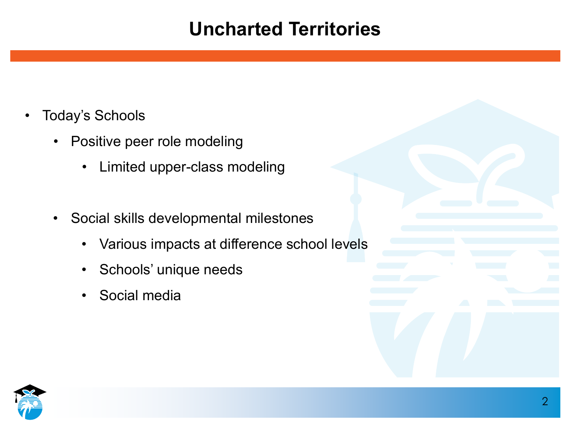- Today's Schools
	- Positive peer role modeling
		- Limited upper-class modeling
	- Social skills developmental milestones
		- Various impacts at difference school levels
		- Schools' unique needs
		- Social media

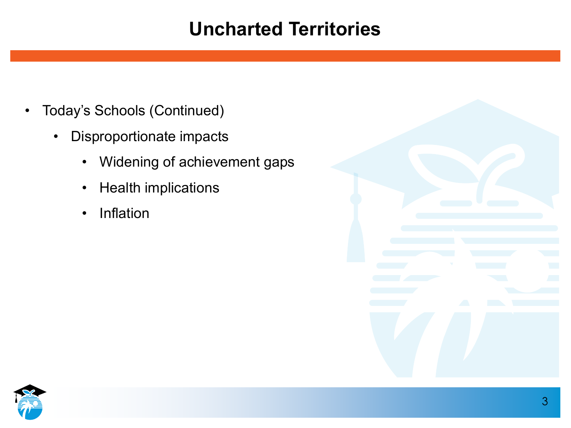- Today's Schools (Continued)
	- Disproportionate impacts
		- Widening of achievement gaps
		- Health implications
		- Inflation

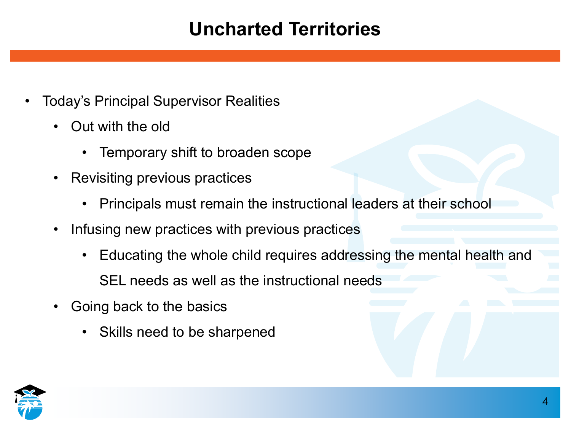- Today's Principal Supervisor Realities
	- Out with the old
		- Temporary shift to broaden scope
	- Revisiting previous practices
		- Principals must remain the instructional leaders at their school
	- Infusing new practices with previous practices
		- Educating the whole child requires addressing the mental health and SEL needs as well as the instructional needs
	- Going back to the basics
		- Skills need to be sharpened

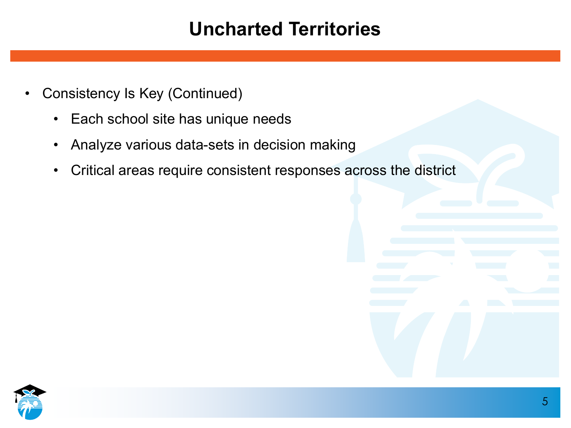- Consistency Is Key (Continued)
	- Each school site has unique needs
	- Analyze various data-sets in decision making
	- Critical areas require consistent responses across the district

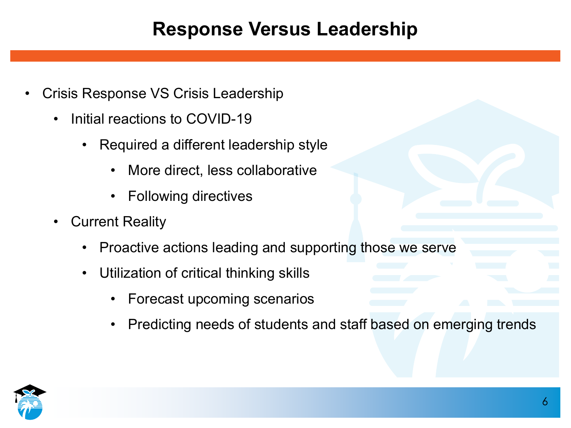# **Response Versus Leadership**

- Crisis Response VS Crisis Leadership
	- Initial reactions to COVID-19
		- Required a different leadership style
			- More direct, less collaborative
			- Following directives
	- Current Reality
		- Proactive actions leading and supporting those we serve
		- Utilization of critical thinking skills
			- Forecast upcoming scenarios
			- Predicting needs of students and staff based on emerging trends

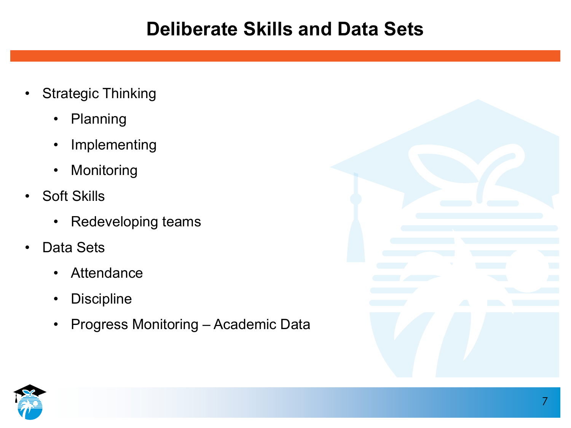#### **Deliberate Skills and Data Sets**

- Strategic Thinking
	- Planning
	- Implementing
	- Monitoring
- Soft Skills
	- Redeveloping teams
- Data Sets
	- Attendance
	- Discipline
	- Progress Monitoring Academic Data



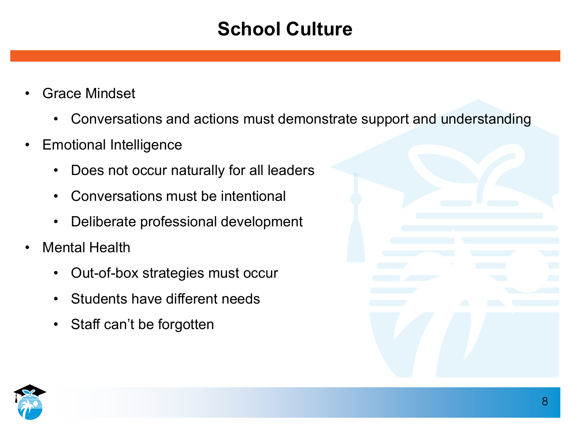# **School Culture**

- Grace Mindset
	- Conversations and actions must demonstrate support and understanding
- Emotional Intelligence
	- Does not occur naturally for all leaders
	- Conversations must be intentional
	- Deliberate professional development
- Mental Health
	- Out-of-box strategies must occur
	- Students have different needs
	- Staff can't be forgotten

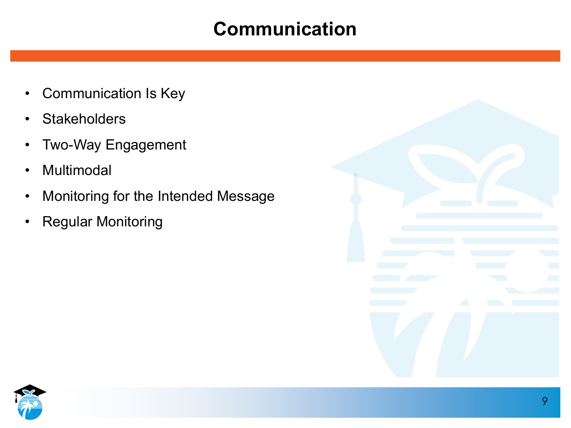# **Communication**

- Communication Is Key
- Stakeholders
- Two-Way Engagement
- Multimodal
- Monitoring for the Intended Message
- Regular Monitoring



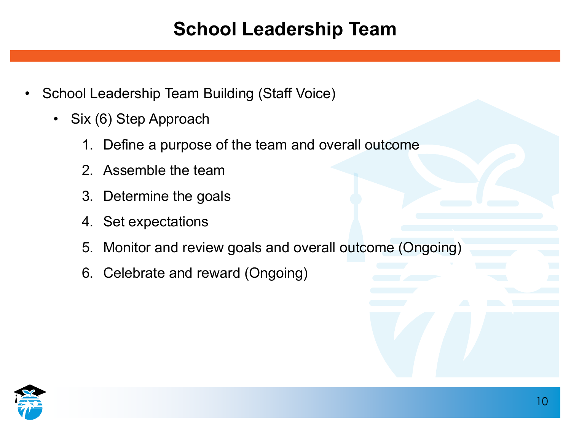# **School Leadership Team**

- School Leadership Team Building (Staff Voice)
	- Six (6) Step Approach
		- 1. Define a purpose of the team and overall outcome
		- 2. Assemble the team
		- 3. Determine the goals
		- 4. Set expectations
		- 5. Monitor and review goals and overall outcome (Ongoing)
		- 6. Celebrate and reward (Ongoing)